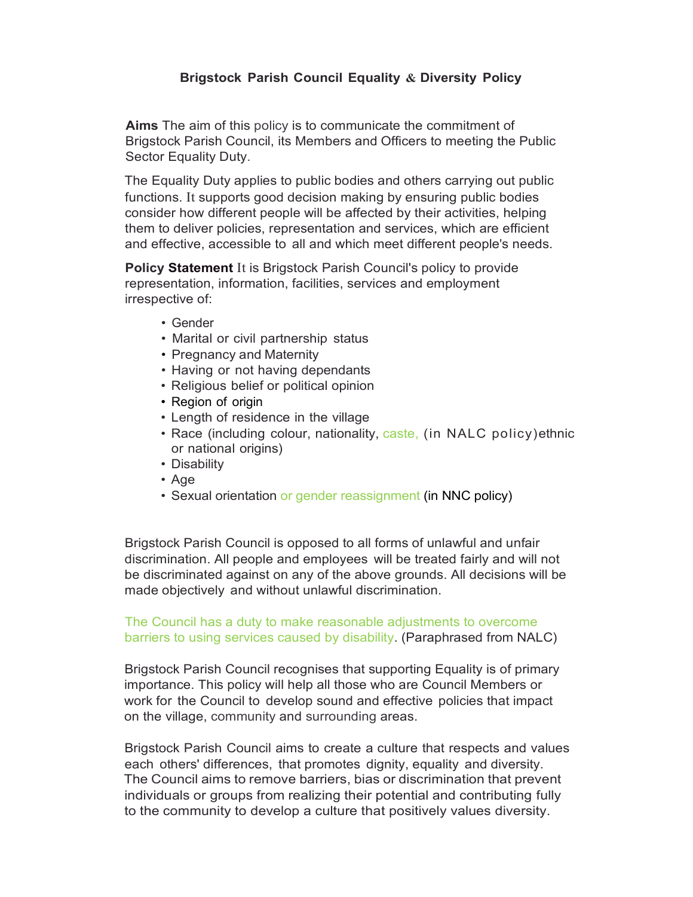## Brigstock Parish Council Equality & Diversity Policy

Aims The aim of this policy is to communicate the commitment of Brigstock Parish Council, its Members and Officers to meeting the Public Sector Equality Duty.

The Equality Duty applies to public bodies and others carrying out public functions. It supports good decision making by ensuring public bodies consider how different people will be affected by their activities, helping them to deliver policies, representation and services, which are efficient and effective, accessible to all and which meet different people's needs.

**Policy Statement** It is Brigstock Parish Council's policy to provide representation, information, facilities, services and employment irrespective of:

- Gender
- Marital or civil partnership status
- Pregnancy and Maternity
- Having or not having dependants
- Religious belief or political opinion
- Region of origin
- Length of residence in the village
- Race (including colour, nationality, caste, (in NALC policy)ethnic or national origins)
- Disability
- Age
- Sexual orientation or gender reassignment (in NNC policy)

Brigstock Parish Council is opposed to all forms of unlawful and unfair discrimination. All people and employees will be treated fairly and will not be discriminated against on any of the above grounds. All decisions will be made objectively and without unlawful discrimination.

The Council has a duty to make reasonable adjustments to overcome barriers to using services caused by disability. (Paraphrased from NALC)

Brigstock Parish Council recognises that supporting Equality is of primary importance. This policy will help all those who are Council Members or work for the Council to develop sound and effective policies that impact on the village, community and surrounding areas.

Brigstock Parish Council aims to create a culture that respects and values each others' differences, that promotes dignity, equality and diversity. The Council aims to remove barriers, bias or discrimination that prevent individuals or groups from realizing their potential and contributing fully to the community to develop a culture that positively values diversity.